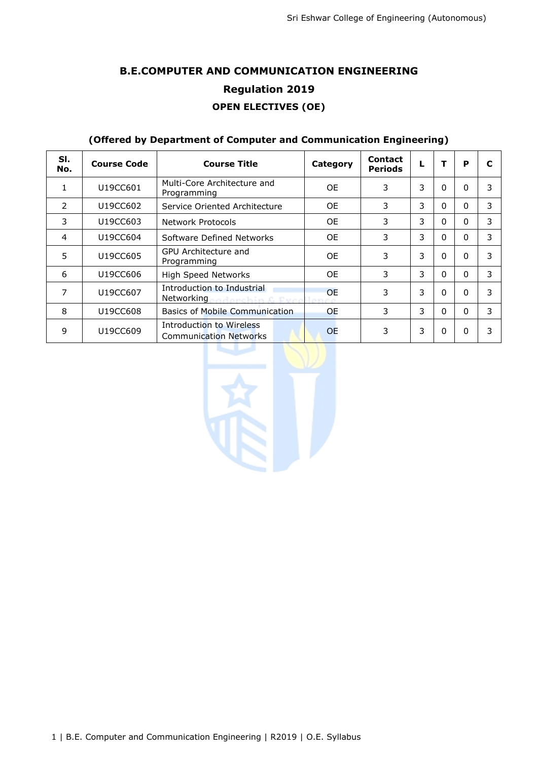# **B.E.COMPUTER AND COMMUNICATION ENGINEERING Regulation 2019 OPEN ELECTIVES (OE)**

### **(Offered by Department of Computer and Communication Engineering)**

| SI.<br>No.    | <b>Course Code</b> | <b>Course Title</b>                                        | Category  | <b>Contact</b><br><b>Periods</b> |   | т        | P            | C |
|---------------|--------------------|------------------------------------------------------------|-----------|----------------------------------|---|----------|--------------|---|
|               | U19CC601           | Multi-Core Architecture and<br>Programming                 | 0F        | 3                                | 3 | 0        | $\Omega$     | 3 |
| $\mathcal{P}$ | U19CC602           | Service Oriented Architecture                              | <b>OE</b> | 3                                | 3 | 0        | <sup>0</sup> | 3 |
| 3             | U19CC603           | Network Protocols                                          | 0E        | 3                                | 3 | 0        | $\Omega$     | 3 |
| 4             | U19CC604           | Software Defined Networks                                  | 0E        | 3                                | 3 | 0        | $\Omega$     | 3 |
| 5             | U19CC605           | GPU Architecture and<br>Programming                        | 0E        | 3                                | 3 | $\Omega$ | $\Omega$     | 3 |
| 6             | U19CC606           | High Speed Networks                                        | 0E        | 3                                | 3 | $\Omega$ | $\Omega$     | 3 |
| 7             | U19CC607           | Introduction to Industrial<br>Networking and archim & Even | <b>OE</b> | 3                                | 3 | $\Omega$ | $\Omega$     | 3 |
| 8             | U19CC608           | Basics of Mobile Communication                             | <b>OE</b> | 3                                | 3 | $\Omega$ | $\Omega$     | 3 |
| 9             | U19CC609           | Introduction to Wireless<br><b>Communication Networks</b>  | <b>OE</b> | 3                                | 3 | $\Omega$ | $\Omega$     | 3 |

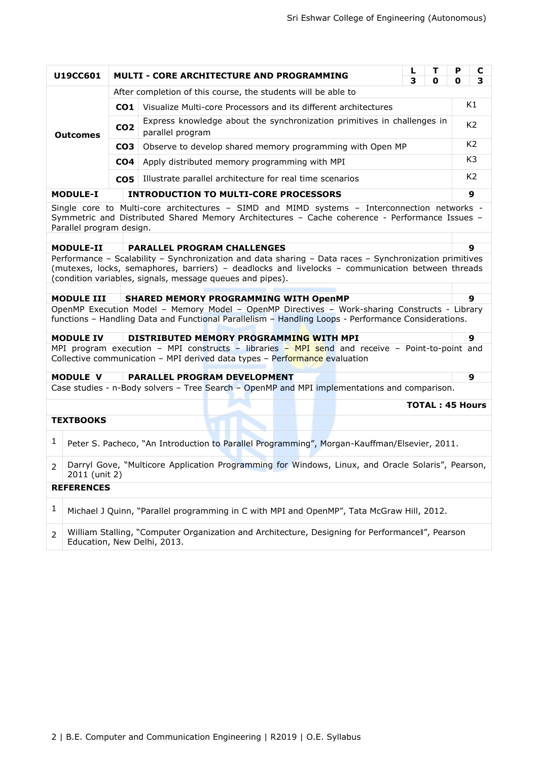|                                                        | U19CC601                                                                                                                                                                                                                                                                     |                                              | <b>MULTI - CORE ARCHITECTURE AND PROGRAMMING</b>                                                                                                                                                     | L<br>3 | т<br>0                 | P<br>0 | C<br>3           |  |
|--------------------------------------------------------|------------------------------------------------------------------------------------------------------------------------------------------------------------------------------------------------------------------------------------------------------------------------------|----------------------------------------------|------------------------------------------------------------------------------------------------------------------------------------------------------------------------------------------------------|--------|------------------------|--------|------------------|--|
|                                                        |                                                                                                                                                                                                                                                                              |                                              | After completion of this course, the students will be able to                                                                                                                                        |        |                        |        |                  |  |
|                                                        |                                                                                                                                                                                                                                                                              | CO1                                          | Visualize Multi-core Processors and its different architectures                                                                                                                                      |        |                        |        | K1               |  |
|                                                        |                                                                                                                                                                                                                                                                              |                                              | Express knowledge about the synchronization primitives in challenges in                                                                                                                              |        |                        |        |                  |  |
|                                                        | <b>Outcomes</b>                                                                                                                                                                                                                                                              | CO <sub>2</sub>                              | parallel program                                                                                                                                                                                     |        |                        |        | K <sub>2</sub>   |  |
|                                                        |                                                                                                                                                                                                                                                                              | CO <sub>3</sub>                              | Observe to develop shared memory programming with Open MP                                                                                                                                            |        |                        |        | K <sub>2</sub>   |  |
|                                                        |                                                                                                                                                                                                                                                                              | CO <sub>4</sub>                              | Apply distributed memory programming with MPI                                                                                                                                                        |        |                        |        | K3               |  |
|                                                        |                                                                                                                                                                                                                                                                              | CO <sub>5</sub>                              | Illustrate parallel architecture for real time scenarios                                                                                                                                             |        |                        |        | K <sub>2</sub>   |  |
|                                                        | <b>MODULE-I</b>                                                                                                                                                                                                                                                              | <b>INTRODUCTION TO MULTI-CORE PROCESSORS</b> |                                                                                                                                                                                                      |        |                        |        |                  |  |
|                                                        | Parallel program design.                                                                                                                                                                                                                                                     |                                              | Single core to Multi-core architectures - SIMD and MIMD systems - Interconnection networks -<br>Symmetric and Distributed Shared Memory Architectures - Cache coherence - Performance Issues -       |        |                        |        |                  |  |
| <b>MODULE-II</b><br><b>PARALLEL PROGRAM CHALLENGES</b> |                                                                                                                                                                                                                                                                              |                                              |                                                                                                                                                                                                      |        |                        |        |                  |  |
|                                                        | 9<br>Performance - Scalability - Synchronization and data sharing - Data races - Synchronization primitives<br>(mutexes, locks, semaphores, barriers) - deadlocks and livelocks - communication between threads<br>(condition variables, signals, message queues and pipes). |                                              |                                                                                                                                                                                                      |        |                        |        |                  |  |
|                                                        | <b>MODULE III</b>                                                                                                                                                                                                                                                            |                                              | <b>SHARED MEMORY PROGRAMMING WITH OpenMP</b>                                                                                                                                                         |        |                        |        | $\boldsymbol{9}$ |  |
|                                                        |                                                                                                                                                                                                                                                                              |                                              | OpenMP Execution Model - Memory Model - OpenMP Directives - Work-sharing Constructs - Library<br>functions - Handling Data and Functional Parallelism - Handling Loops - Performance Considerations. |        |                        |        |                  |  |
|                                                        | <b>MODULE IV</b>                                                                                                                                                                                                                                                             |                                              | DISTRIBUTED MEMORY PROGRAMMING WITH MPI                                                                                                                                                              |        |                        |        | 9                |  |
|                                                        |                                                                                                                                                                                                                                                                              |                                              | MPI program execution - MPI constructs - libraries - MPI send and receive - Point-to-point and<br>Collective communication - MPI derived data types - Performance evaluation                         |        |                        |        |                  |  |
|                                                        | <b>MODULE V</b>                                                                                                                                                                                                                                                              |                                              | PARALLEL PROGRAM DEVELOPMENT                                                                                                                                                                         |        |                        |        | 9                |  |
|                                                        |                                                                                                                                                                                                                                                                              |                                              | Case studies - n-Body solvers - Tree Search - OpenMP and MPI implementations and comparison.                                                                                                         |        |                        |        |                  |  |
|                                                        |                                                                                                                                                                                                                                                                              |                                              |                                                                                                                                                                                                      |        | <b>TOTAL: 45 Hours</b> |        |                  |  |
|                                                        | <b>TEXTBOOKS</b>                                                                                                                                                                                                                                                             |                                              |                                                                                                                                                                                                      |        |                        |        |                  |  |
| 1                                                      |                                                                                                                                                                                                                                                                              |                                              | Peter S. Pacheco, "An Introduction to Parallel Programming", Morgan-Kauffman/Elsevier, 2011.                                                                                                         |        |                        |        |                  |  |
| 2 <sup>1</sup>                                         | 2011 (unit 2)                                                                                                                                                                                                                                                                |                                              | Darryl Gove, "Multicore Application Programming for Windows, Linux, and Oracle Solaris", Pearson,                                                                                                    |        |                        |        |                  |  |
|                                                        | <b>REFERENCES</b>                                                                                                                                                                                                                                                            |                                              |                                                                                                                                                                                                      |        |                        |        |                  |  |
| 1                                                      |                                                                                                                                                                                                                                                                              |                                              | Michael J Quinn, "Parallel programming in C with MPI and OpenMP", Tata McGraw Hill, 2012.                                                                                                            |        |                        |        |                  |  |
| 2                                                      |                                                                                                                                                                                                                                                                              |                                              | William Stalling, "Computer Organization and Architecture, Designing for Performancell", Pearson<br>Education, New Delhi, 2013.                                                                      |        |                        |        |                  |  |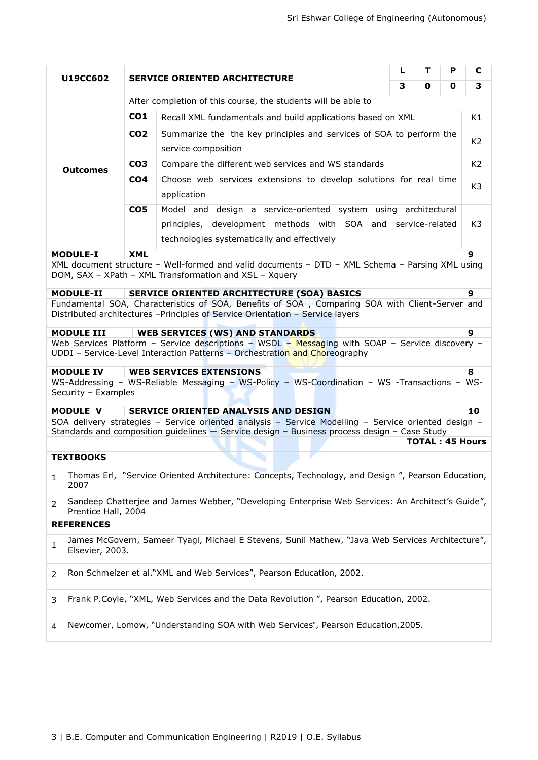| U19CC602 |                                                                                                                                                                                  | т<br>L<br><b>SERVICE ORIENTED ARCHITECTURE</b>                    |                                                                                                                                                                                                     |                  |  | P | C                      |  |  |
|----------|----------------------------------------------------------------------------------------------------------------------------------------------------------------------------------|-------------------------------------------------------------------|-----------------------------------------------------------------------------------------------------------------------------------------------------------------------------------------------------|------------------|--|---|------------------------|--|--|
|          |                                                                                                                                                                                  |                                                                   |                                                                                                                                                                                                     | 3<br>3<br>0<br>0 |  |   |                        |  |  |
|          |                                                                                                                                                                                  |                                                                   | After completion of this course, the students will be able to                                                                                                                                       |                  |  |   |                        |  |  |
|          |                                                                                                                                                                                  | CO <sub>1</sub>                                                   | Recall XML fundamentals and build applications based on XML                                                                                                                                         |                  |  |   | K1                     |  |  |
|          |                                                                                                                                                                                  | CO <sub>2</sub>                                                   | Summarize the the key principles and services of SOA to perform the                                                                                                                                 |                  |  |   |                        |  |  |
|          |                                                                                                                                                                                  |                                                                   | service composition                                                                                                                                                                                 |                  |  |   |                        |  |  |
|          | <b>Outcomes</b>                                                                                                                                                                  | CO <sub>3</sub>                                                   | Compare the different web services and WS standards                                                                                                                                                 |                  |  |   |                        |  |  |
|          | CO <sub>4</sub>                                                                                                                                                                  | Choose web services extensions to develop solutions for real time |                                                                                                                                                                                                     |                  |  |   |                        |  |  |
|          |                                                                                                                                                                                  |                                                                   | K3<br>application                                                                                                                                                                                   |                  |  |   |                        |  |  |
|          |                                                                                                                                                                                  | CO <sub>5</sub>                                                   | Model and design a service-oriented system using architectural                                                                                                                                      |                  |  |   |                        |  |  |
|          |                                                                                                                                                                                  |                                                                   | principles, development methods with SOA and service-related                                                                                                                                        |                  |  |   | K3                     |  |  |
|          |                                                                                                                                                                                  |                                                                   | technologies systematically and effectively                                                                                                                                                         |                  |  |   |                        |  |  |
|          | <b>MODULE-I</b>                                                                                                                                                                  | <b>XML</b>                                                        |                                                                                                                                                                                                     |                  |  |   | 9                      |  |  |
|          |                                                                                                                                                                                  |                                                                   | XML document structure - Well-formed and valid documents - DTD - XML Schema - Parsing XML using<br>DOM, SAX - XPath - XML Transformation and XSL - Xquery                                           |                  |  |   |                        |  |  |
|          | <b>MODULE-II</b>                                                                                                                                                                 |                                                                   | <b>SERVICE ORIENTED ARCHITECTURE (SOA) BASICS</b>                                                                                                                                                   |                  |  |   | 9                      |  |  |
|          | Fundamental SOA, Characteristics of SOA, Benefits of SOA , Comparing SOA with Client-Server and<br>Distributed architectures -Principles of Service Orientation - Service layers |                                                                   |                                                                                                                                                                                                     |                  |  |   |                        |  |  |
|          | <b>MODULE III</b>                                                                                                                                                                |                                                                   | <b>WEB SERVICES (WS) AND STANDARDS</b>                                                                                                                                                              |                  |  |   | 9                      |  |  |
|          |                                                                                                                                                                                  |                                                                   | Web Services Platform - Service descriptions - WSDL - Messaging with SOAP - Service discovery -<br>UDDI - Service-Level Interaction Patterns - Orchestration and Choreography                       |                  |  |   |                        |  |  |
|          | <b>MODULE IV</b>                                                                                                                                                                 |                                                                   | <b>WEB SERVICES EXTENSIONS</b>                                                                                                                                                                      |                  |  |   | 8                      |  |  |
|          | Security - Examples                                                                                                                                                              |                                                                   | WS-Addressing - WS-Reliable Messaging - WS-Policy - WS-Coordination - WS -Transactions - WS-                                                                                                        |                  |  |   |                        |  |  |
|          | <b>MODULE V</b>                                                                                                                                                                  |                                                                   | SERVICE ORIENTED ANALYSIS AND DESIGN                                                                                                                                                                |                  |  |   | 10                     |  |  |
|          |                                                                                                                                                                                  |                                                                   | SOA delivery strategies - Service oriented analysis - Service Modelling - Service oriented design -<br>Standards and composition guidelines - Service design - Business process design - Case Study |                  |  |   |                        |  |  |
|          |                                                                                                                                                                                  |                                                                   |                                                                                                                                                                                                     |                  |  |   | <b>TOTAL: 45 Hours</b> |  |  |
|          | <b>TEXTBOOKS</b>                                                                                                                                                                 |                                                                   |                                                                                                                                                                                                     |                  |  |   |                        |  |  |
| 1        | 2007                                                                                                                                                                             |                                                                   | Thomas Erl, "Service Oriented Architecture: Concepts, Technology, and Design ", Pearson Education,                                                                                                  |                  |  |   |                        |  |  |
| 2        | Prentice Hall, 2004                                                                                                                                                              |                                                                   | Sandeep Chatterjee and James Webber, "Developing Enterprise Web Services: An Architect's Guide",                                                                                                    |                  |  |   |                        |  |  |
|          | <b>REFERENCES</b>                                                                                                                                                                |                                                                   |                                                                                                                                                                                                     |                  |  |   |                        |  |  |
| 1        | Elsevier, 2003.                                                                                                                                                                  |                                                                   | James McGovern, Sameer Tyagi, Michael E Stevens, Sunil Mathew, "Java Web Services Architecture",                                                                                                    |                  |  |   |                        |  |  |
| 2        |                                                                                                                                                                                  |                                                                   | Ron Schmelzer et al."XML and Web Services", Pearson Education, 2002.                                                                                                                                |                  |  |   |                        |  |  |
| 3        |                                                                                                                                                                                  |                                                                   | Frank P.Coyle, "XML, Web Services and the Data Revolution", Pearson Education, 2002.                                                                                                                |                  |  |   |                        |  |  |
| 4        |                                                                                                                                                                                  |                                                                   | Newcomer, Lomow, "Understanding SOA with Web Services", Pearson Education, 2005.                                                                                                                    |                  |  |   |                        |  |  |
|          |                                                                                                                                                                                  |                                                                   |                                                                                                                                                                                                     |                  |  |   |                        |  |  |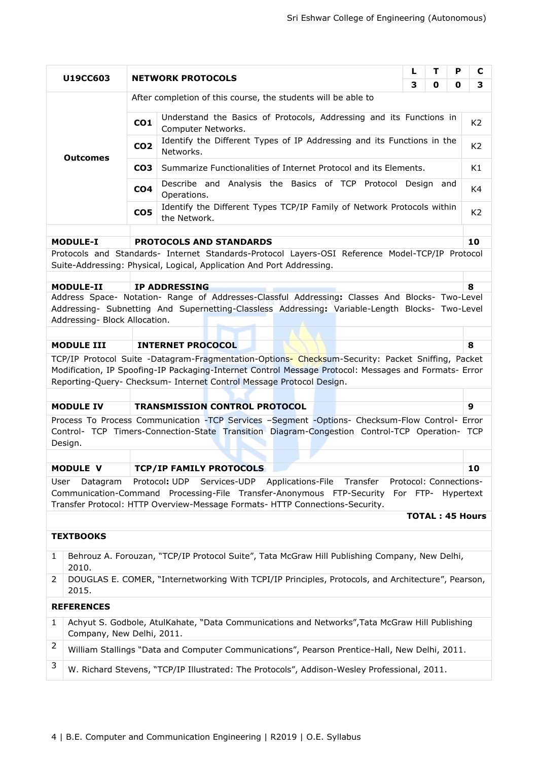|                                               |                                                                                                           |                 |                                                                                                                                                                                                                                                                                    | L                                            | т | Р | C                      |  |
|-----------------------------------------------|-----------------------------------------------------------------------------------------------------------|-----------------|------------------------------------------------------------------------------------------------------------------------------------------------------------------------------------------------------------------------------------------------------------------------------------|----------------------------------------------|---|---|------------------------|--|
|                                               | U19CC603                                                                                                  |                 | <b>NETWORK PROTOCOLS</b>                                                                                                                                                                                                                                                           | 3                                            | 0 | 0 | 3                      |  |
|                                               |                                                                                                           |                 | After completion of this course, the students will be able to                                                                                                                                                                                                                      |                                              |   |   |                        |  |
|                                               |                                                                                                           | CO <sub>1</sub> | Understand the Basics of Protocols, Addressing and its Functions in<br>Computer Networks.                                                                                                                                                                                          |                                              |   |   |                        |  |
|                                               | <b>Outcomes</b>                                                                                           | CO <sub>2</sub> | Identify the Different Types of IP Addressing and its Functions in the<br>Networks.                                                                                                                                                                                                |                                              |   |   | K <sub>2</sub>         |  |
|                                               |                                                                                                           | CO <sub>3</sub> | Summarize Functionalities of Internet Protocol and its Elements.                                                                                                                                                                                                                   |                                              |   |   | K1                     |  |
|                                               |                                                                                                           | CO <sub>4</sub> | Describe and Analysis the Basics of TCP Protocol Design and<br>Operations.                                                                                                                                                                                                         |                                              |   |   | K4                     |  |
|                                               | Identify the Different Types TCP/IP Family of Network Protocols within<br>CO <sub>5</sub><br>the Network. |                 |                                                                                                                                                                                                                                                                                    |                                              |   |   | K <sub>2</sub>         |  |
|                                               | <b>MODULE-I</b>                                                                                           |                 | <b>PROTOCOLS AND STANDARDS</b>                                                                                                                                                                                                                                                     |                                              |   |   | 10                     |  |
|                                               |                                                                                                           |                 | Protocols and Standards- Internet Standards-Protocol Layers-OSI Reference Model-TCP/IP Protocol                                                                                                                                                                                    |                                              |   |   |                        |  |
|                                               |                                                                                                           |                 | Suite-Addressing: Physical, Logical, Application And Port Addressing.                                                                                                                                                                                                              |                                              |   |   |                        |  |
|                                               | <b>MODULE-II</b>                                                                                          |                 | <b>IP ADDRESSING</b>                                                                                                                                                                                                                                                               |                                              |   |   | 8                      |  |
|                                               |                                                                                                           |                 | Address Space- Notation- Range of Addresses-Classful Addressing: Classes And Blocks- Two-Level                                                                                                                                                                                     |                                              |   |   |                        |  |
|                                               | Addressing- Block Allocation.                                                                             |                 | Addressing- Subnetting And Supernetting-Classless Addressing: Variable-Length Blocks- Two-Level                                                                                                                                                                                    |                                              |   |   |                        |  |
|                                               |                                                                                                           |                 |                                                                                                                                                                                                                                                                                    |                                              |   |   |                        |  |
| <b>MODULE III</b><br><b>INTERNET PROCOCOL</b> |                                                                                                           |                 |                                                                                                                                                                                                                                                                                    |                                              |   | 8 |                        |  |
|                                               |                                                                                                           |                 | TCP/IP Protocol Suite -Datagram-Fragmentation-Options- Checksum-Security: Packet Sniffing, Packet<br>Modification, IP Spoofing-IP Packaging-Internet Control Message Protocol: Messages and Formats- Error<br>Reporting-Query- Checksum- Internet Control Message Protocol Design. |                                              |   |   |                        |  |
|                                               |                                                                                                           |                 |                                                                                                                                                                                                                                                                                    |                                              |   |   |                        |  |
|                                               | <b>MODULE IV</b>                                                                                          |                 | <b>TRANSMISSION CONTROL PROTOCOL</b>                                                                                                                                                                                                                                               |                                              |   |   | 9                      |  |
|                                               |                                                                                                           |                 | Process To Process Communication -TCP Services -Segment -Options- Checksum-Flow Control- Error                                                                                                                                                                                     |                                              |   |   |                        |  |
|                                               | Design.                                                                                                   |                 | Control- TCP Timers-Connection-State Transition Diagram-Congestion Control-TCP Operation- TCP                                                                                                                                                                                      |                                              |   |   |                        |  |
|                                               |                                                                                                           |                 |                                                                                                                                                                                                                                                                                    |                                              |   |   |                        |  |
|                                               | <b>MODULE V</b>                                                                                           |                 | <b>TCP/IP FAMILY PROTOCOLS</b>                                                                                                                                                                                                                                                     |                                              |   |   | 10                     |  |
| User                                          | Datagram                                                                                                  |                 | Protocol: UDP<br>Services-UDP<br>Applications-File Transfer<br>Communication-Command Processing-File Transfer-Anonymous FTP-Security<br>Transfer Protocol: HTTP Overview-Message Formats- HTTP Connections-Security.                                                               | Protocol: Connections-<br>For FTP- Hypertext |   |   |                        |  |
|                                               |                                                                                                           |                 |                                                                                                                                                                                                                                                                                    |                                              |   |   | <b>TOTAL: 45 Hours</b> |  |
|                                               | <b>TEXTBOOKS</b>                                                                                          |                 |                                                                                                                                                                                                                                                                                    |                                              |   |   |                        |  |
| 1                                             | 2010.                                                                                                     |                 | Behrouz A. Forouzan, "TCP/IP Protocol Suite", Tata McGraw Hill Publishing Company, New Delhi,                                                                                                                                                                                      |                                              |   |   |                        |  |
| 2                                             | 2015.                                                                                                     |                 | DOUGLAS E. COMER, "Internetworking With TCPI/IP Principles, Protocols, and Architecture", Pearson,                                                                                                                                                                                 |                                              |   |   |                        |  |
|                                               | <b>REFERENCES</b>                                                                                         |                 |                                                                                                                                                                                                                                                                                    |                                              |   |   |                        |  |
| 1                                             | Company, New Delhi, 2011.                                                                                 |                 | Achyut S. Godbole, AtulKahate, "Data Communications and Networks", Tata McGraw Hill Publishing                                                                                                                                                                                     |                                              |   |   |                        |  |
| 2                                             |                                                                                                           |                 | William Stallings "Data and Computer Communications", Pearson Prentice-Hall, New Delhi, 2011.                                                                                                                                                                                      |                                              |   |   |                        |  |
| 3                                             | W. Richard Stevens, "TCP/IP Illustrated: The Protocols", Addison-Wesley Professional, 2011.               |                 |                                                                                                                                                                                                                                                                                    |                                              |   |   |                        |  |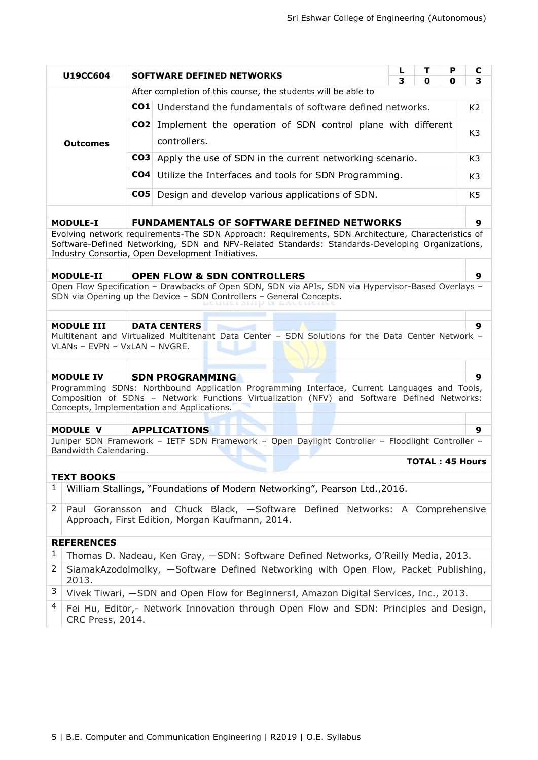|   | U19CC604                      |                 | <b>SOFTWARE DEFINED NETWORKS</b>                                                                                                                                                                                                          | L<br>3 | т<br>0                 | P<br>0 | C<br>3         |  |  |
|---|-------------------------------|-----------------|-------------------------------------------------------------------------------------------------------------------------------------------------------------------------------------------------------------------------------------------|--------|------------------------|--------|----------------|--|--|
|   |                               |                 | After completion of this course, the students will be able to                                                                                                                                                                             |        |                        |        |                |  |  |
|   |                               | CO1 I           | Understand the fundamentals of software defined networks.<br>K <sub>2</sub>                                                                                                                                                               |        |                        |        |                |  |  |
|   |                               | CO <sub>2</sub> | Implement the operation of SDN control plane with different                                                                                                                                                                               |        |                        |        |                |  |  |
|   | <b>Outcomes</b>               |                 | controllers.                                                                                                                                                                                                                              |        |                        |        | K <sub>3</sub> |  |  |
|   |                               |                 | <b>CO3</b> Apply the use of SDN in the current networking scenario.                                                                                                                                                                       |        |                        |        | K <sub>3</sub> |  |  |
|   |                               |                 | <b>CO4</b> Utilize the Interfaces and tools for SDN Programming.                                                                                                                                                                          |        |                        |        |                |  |  |
|   |                               | CO <sub>5</sub> | Design and develop various applications of SDN.                                                                                                                                                                                           |        |                        |        | K <sub>5</sub> |  |  |
|   |                               |                 |                                                                                                                                                                                                                                           |        |                        |        |                |  |  |
|   | <b>MODULE-I</b>               |                 | <b>FUNDAMENTALS OF SOFTWARE DEFINED NETWORKS</b>                                                                                                                                                                                          |        |                        |        | 9              |  |  |
|   |                               |                 | Evolving network requirements-The SDN Approach: Requirements, SDN Architecture, Characteristics of<br>Software-Defined Networking, SDN and NFV-Related Standards: Standards-Developing Organizations,                                     |        |                        |        |                |  |  |
|   |                               |                 | Industry Consortia, Open Development Initiatives.                                                                                                                                                                                         |        |                        |        |                |  |  |
|   | <b>MODULE-II</b>              |                 | <b>OPEN FLOW &amp; SDN CONTROLLERS</b>                                                                                                                                                                                                    |        |                        |        | 9              |  |  |
|   |                               |                 | Open Flow Specification - Drawbacks of Open SDN, SDN via APIs, SDN via Hypervisor-Based Overlays -                                                                                                                                        |        |                        |        |                |  |  |
|   |                               |                 | SDN via Opening up the Device - SDN Controllers - General Concepts.                                                                                                                                                                       |        |                        |        |                |  |  |
|   | <b>MODULE III</b>             |                 | <b>DATA CENTERS</b>                                                                                                                                                                                                                       |        |                        |        | 9              |  |  |
|   |                               |                 | Multitenant and Virtualized Multitenant Data Center - SDN Solutions for the Data Center Network -                                                                                                                                         |        |                        |        |                |  |  |
|   | VLANs - EVPN - VxLAN - NVGRE. |                 |                                                                                                                                                                                                                                           |        |                        |        |                |  |  |
|   |                               |                 |                                                                                                                                                                                                                                           |        |                        |        |                |  |  |
|   | <b>MODULE IV</b>              |                 | <b>SDN PROGRAMMING</b>                                                                                                                                                                                                                    |        |                        |        | 9              |  |  |
|   |                               |                 | Programming SDNs: Northbound Application Programming Interface, Current Languages and Tools,<br>Composition of SDNs - Network Functions Virtualization (NFV) and Software Defined Networks:<br>Concepts, Implementation and Applications. |        |                        |        |                |  |  |
|   |                               |                 |                                                                                                                                                                                                                                           |        |                        |        |                |  |  |
|   | <b>MODULE V</b>               |                 | <b>APPLICATIONS</b>                                                                                                                                                                                                                       |        |                        |        | 9              |  |  |
|   | Bandwidth Calendaring.        |                 | Juniper SDN Framework - IETF SDN Framework - Open Daylight Controller - Floodlight Controller -                                                                                                                                           |        |                        |        |                |  |  |
|   |                               |                 |                                                                                                                                                                                                                                           |        | <b>TOTAL: 45 Hours</b> |        |                |  |  |
|   | <b>TEXT BOOKS</b>             |                 |                                                                                                                                                                                                                                           |        |                        |        |                |  |  |
| 1 |                               |                 | William Stallings, "Foundations of Modern Networking", Pearson Ltd., 2016.                                                                                                                                                                |        |                        |        |                |  |  |
| 2 |                               |                 | Paul Goransson and Chuck Black, -Software Defined Networks: A Comprehensive                                                                                                                                                               |        |                        |        |                |  |  |
|   |                               |                 | Approach, First Edition, Morgan Kaufmann, 2014.                                                                                                                                                                                           |        |                        |        |                |  |  |
|   | <b>REFERENCES</b>             |                 |                                                                                                                                                                                                                                           |        |                        |        |                |  |  |
| 1 |                               |                 | Thomas D. Nadeau, Ken Gray, -SDN: Software Defined Networks, O'Reilly Media, 2013.                                                                                                                                                        |        |                        |        |                |  |  |
| 2 | 2013.                         |                 | SiamakAzodolmolky, -Software Defined Networking with Open Flow, Packet Publishing,                                                                                                                                                        |        |                        |        |                |  |  |
| 3 |                               |                 | Vivek Tiwari, -SDN and Open Flow for Beginners II, Amazon Digital Services, Inc., 2013.                                                                                                                                                   |        |                        |        |                |  |  |
| 4 | <b>CRC Press, 2014.</b>       |                 | Fei Hu, Editor,- Network Innovation through Open Flow and SDN: Principles and Design,                                                                                                                                                     |        |                        |        |                |  |  |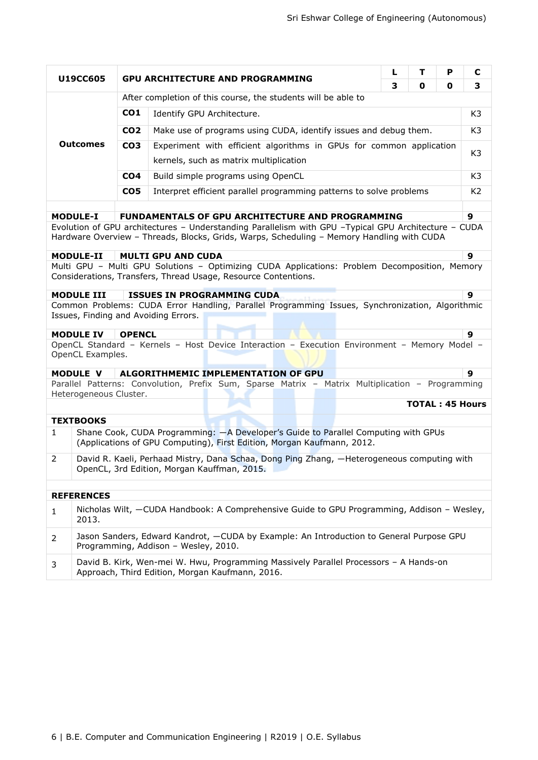|                  |                                                               |                                                                                     |                                                                                                                                                                                                                                                                                           | L | т                      | P | C              |  |  |
|------------------|---------------------------------------------------------------|-------------------------------------------------------------------------------------|-------------------------------------------------------------------------------------------------------------------------------------------------------------------------------------------------------------------------------------------------------------------------------------------|---|------------------------|---|----------------|--|--|
|                  | U19CC605                                                      |                                                                                     | <b>GPU ARCHITECTURE AND PROGRAMMING</b>                                                                                                                                                                                                                                                   | 3 | 0                      | 0 | 3              |  |  |
|                  | After completion of this course, the students will be able to |                                                                                     |                                                                                                                                                                                                                                                                                           |   |                        |   |                |  |  |
|                  |                                                               | CO <sub>1</sub>                                                                     | Identify GPU Architecture.                                                                                                                                                                                                                                                                |   |                        |   |                |  |  |
|                  |                                                               | Make use of programs using CUDA, identify issues and debug them.<br>CO <sub>2</sub> |                                                                                                                                                                                                                                                                                           |   |                        |   |                |  |  |
|                  | <b>Outcomes</b>                                               | CO <sub>3</sub>                                                                     | Experiment with efficient algorithms in GPUs for common application                                                                                                                                                                                                                       |   |                        |   |                |  |  |
|                  |                                                               |                                                                                     | kernels, such as matrix multiplication                                                                                                                                                                                                                                                    |   |                        |   | K3             |  |  |
|                  |                                                               | CO <sub>4</sub>                                                                     | Build simple programs using OpenCL                                                                                                                                                                                                                                                        |   |                        |   | K <sub>3</sub> |  |  |
|                  |                                                               | CO <sub>5</sub>                                                                     | Interpret efficient parallel programming patterns to solve problems                                                                                                                                                                                                                       |   |                        |   | K <sub>2</sub> |  |  |
|                  |                                                               |                                                                                     |                                                                                                                                                                                                                                                                                           |   |                        |   |                |  |  |
| <b>MODULE-I</b>  |                                                               |                                                                                     | FUNDAMENTALS OF GPU ARCHITECTURE AND PROGRAMMING<br>Evolution of GPU architectures - Understanding Parallelism with GPU -Typical GPU Architecture - CUDA                                                                                                                                  |   |                        |   | 9              |  |  |
| <b>MODULE-II</b> |                                                               |                                                                                     | Hardware Overview - Threads, Blocks, Grids, Warps, Scheduling - Memory Handling with CUDA<br><b>MULTI GPU AND CUDA</b><br>Multi GPU - Multi GPU Solutions - Optimizing CUDA Applications: Problem Decomposition, Memory<br>Considerations, Transfers, Thread Usage, Resource Contentions. |   |                        |   | $\mathbf{9}$   |  |  |
|                  |                                                               |                                                                                     |                                                                                                                                                                                                                                                                                           |   |                        |   |                |  |  |
|                  | <b>MODULE III</b>                                             |                                                                                     | <b>ISSUES IN PROGRAMMING CUDA</b>                                                                                                                                                                                                                                                         |   |                        |   | 9              |  |  |
|                  |                                                               |                                                                                     | Common Problems: CUDA Error Handling, Parallel Programming Issues, Synchronization, Algorithmic<br>Issues, Finding and Avoiding Errors.                                                                                                                                                   |   |                        |   |                |  |  |
| <b>MODULE IV</b> |                                                               | <b>OPENCL</b>                                                                       |                                                                                                                                                                                                                                                                                           |   |                        |   | 9              |  |  |
|                  | OpenCL Examples.                                              |                                                                                     | OpenCL Standard - Kernels - Host Device Interaction - Execution Environment - Memory Model -                                                                                                                                                                                              |   |                        |   |                |  |  |
| <b>MODULE V</b>  |                                                               |                                                                                     | ALGORITHMEMIC IMPLEMENTATION OF GPU                                                                                                                                                                                                                                                       |   |                        |   | 9              |  |  |
|                  | Heterogeneous Cluster.                                        |                                                                                     | Parallel Patterns: Convolution, Prefix Sum, Sparse Matrix - Matrix Multiplication - Programming                                                                                                                                                                                           |   |                        |   |                |  |  |
|                  |                                                               |                                                                                     |                                                                                                                                                                                                                                                                                           |   | <b>TOTAL: 45 Hours</b> |   |                |  |  |
|                  | <b>TEXTBOOKS</b>                                              |                                                                                     |                                                                                                                                                                                                                                                                                           |   |                        |   |                |  |  |
| $\mathbf{1}$     |                                                               |                                                                                     | Shane Cook, CUDA Programming: - A Developer's Guide to Parallel Computing with GPUs<br>(Applications of GPU Computing), First Edition, Morgan Kaufmann, 2012.                                                                                                                             |   |                        |   |                |  |  |
| 2                |                                                               |                                                                                     | David R. Kaeli, Perhaad Mistry, Dana Schaa, Dong Ping Zhang, -Heterogeneous computing with<br>OpenCL, 3rd Edition, Morgan Kauffman, 2015.                                                                                                                                                 |   |                        |   |                |  |  |
|                  | <b>REFERENCES</b>                                             |                                                                                     |                                                                                                                                                                                                                                                                                           |   |                        |   |                |  |  |
| $\mathbf{1}$     | 2013.                                                         |                                                                                     | Nicholas Wilt, -CUDA Handbook: A Comprehensive Guide to GPU Programming, Addison - Wesley,                                                                                                                                                                                                |   |                        |   |                |  |  |
| $\overline{2}$   |                                                               |                                                                                     | Jason Sanders, Edward Kandrot, - CUDA by Example: An Introduction to General Purpose GPU<br>Programming, Addison - Wesley, 2010.                                                                                                                                                          |   |                        |   |                |  |  |
| 3                |                                                               |                                                                                     | David B. Kirk, Wen-mei W. Hwu, Programming Massively Parallel Processors - A Hands-on<br>Approach, Third Edition, Morgan Kaufmann, 2016.                                                                                                                                                  |   |                        |   |                |  |  |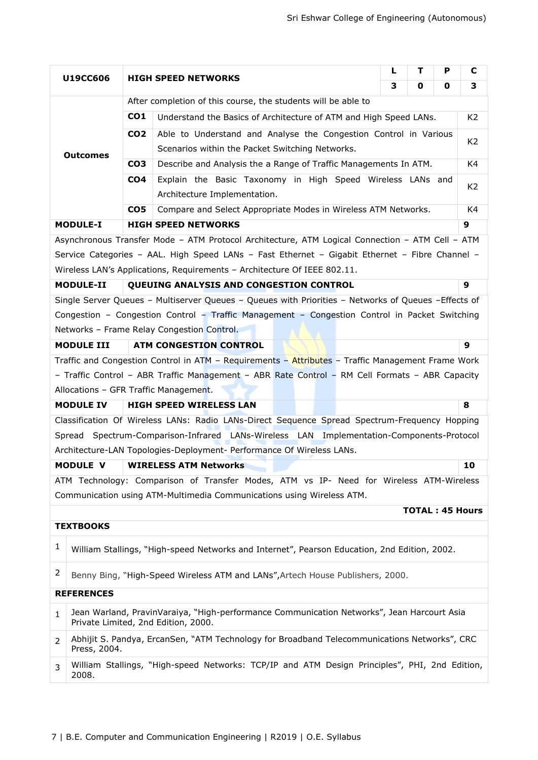|              |                                                               |                 |                                                                                                                                    | L | т | P | C                      |  |
|--------------|---------------------------------------------------------------|-----------------|------------------------------------------------------------------------------------------------------------------------------------|---|---|---|------------------------|--|
|              | U19CC606                                                      |                 | <b>HIGH SPEED NETWORKS</b>                                                                                                         | 3 | 0 | 0 | 3                      |  |
|              | After completion of this course, the students will be able to |                 |                                                                                                                                    |   |   |   |                        |  |
|              |                                                               | CO <sub>1</sub> | Understand the Basics of Architecture of ATM and High Speed LANs.                                                                  |   |   |   |                        |  |
|              |                                                               | CO <sub>2</sub> | Able to Understand and Analyse the Congestion Control in Various                                                                   |   |   |   |                        |  |
|              | <b>Outcomes</b>                                               |                 | Scenarios within the Packet Switching Networks.                                                                                    |   |   |   | K <sub>2</sub>         |  |
|              |                                                               | CO <sub>3</sub> | Describe and Analysis the a Range of Traffic Managements In ATM.                                                                   |   |   |   | K4                     |  |
|              |                                                               | CO <sub>4</sub> | Explain the Basic Taxonomy in High Speed Wireless LANs and                                                                         |   |   |   | K2                     |  |
|              |                                                               |                 | Architecture Implementation.                                                                                                       |   |   |   |                        |  |
|              |                                                               | CO <sub>5</sub> | Compare and Select Appropriate Modes in Wireless ATM Networks.                                                                     |   |   |   | K4                     |  |
|              | <b>MODULE-I</b>                                               |                 | <b>HIGH SPEED NETWORKS</b>                                                                                                         |   |   |   | 9                      |  |
|              |                                                               |                 | Asynchronous Transfer Mode - ATM Protocol Architecture, ATM Logical Connection - ATM Cell - ATM                                    |   |   |   |                        |  |
|              |                                                               |                 | Service Categories - AAL. High Speed LANs - Fast Ethernet - Gigabit Ethernet - Fibre Channel -                                     |   |   |   |                        |  |
|              |                                                               |                 | Wireless LAN's Applications, Requirements - Architecture Of IEEE 802.11.                                                           |   |   |   |                        |  |
|              | <b>MODULE-II</b>                                              |                 | QUEUING ANALYSIS AND CONGESTION CONTROL                                                                                            |   |   |   | 9                      |  |
|              |                                                               |                 | Single Server Queues - Multiserver Queues - Queues with Priorities - Networks of Queues - Effects of                               |   |   |   |                        |  |
|              |                                                               |                 | Congestion - Congestion Control - Traffic Management - Congestion Control in Packet Switching                                      |   |   |   |                        |  |
|              |                                                               |                 | Networks - Frame Relay Congestion Control.                                                                                         |   |   |   | 9                      |  |
|              | <b>MODULE III</b>                                             |                 | <b>ATM CONGESTION CONTROL</b><br>Traffic and Congestion Control in ATM - Requirements - Attributes - Traffic Management Frame Work |   |   |   |                        |  |
|              |                                                               |                 | - Traffic Control - ABR Traffic Management - ABR Rate Control - RM Cell Formats - ABR Capacity                                     |   |   |   |                        |  |
|              |                                                               |                 | Allocations - GFR Traffic Management.                                                                                              |   |   |   |                        |  |
|              | <b>MODULE IV</b>                                              |                 | <b>HIGH SPEED WIRELESS LAN</b>                                                                                                     |   |   |   | 8                      |  |
|              |                                                               |                 | Classification Of Wireless LANs: Radio LANs-Direct Sequence Spread Spectrum-Frequency Hopping                                      |   |   |   |                        |  |
|              |                                                               |                 | Spread Spectrum-Comparison-Infrared LANs-Wireless LAN Implementation-Components-Protocol                                           |   |   |   |                        |  |
|              |                                                               |                 | Architecture-LAN Topologies-Deployment- Performance Of Wireless LANs.                                                              |   |   |   |                        |  |
|              | <b>MODULE V</b>                                               |                 | <b>WIRELESS ATM Networks</b>                                                                                                       |   |   |   | 10                     |  |
|              |                                                               |                 | ATM Technology: Comparison of Transfer Modes, ATM vs IP- Need for Wireless ATM-Wireless                                            |   |   |   |                        |  |
|              |                                                               |                 | Communication using ATM-Multimedia Communications using Wireless ATM.                                                              |   |   |   |                        |  |
|              |                                                               |                 |                                                                                                                                    |   |   |   | <b>TOTAL: 45 Hours</b> |  |
|              | <b>TEXTBOOKS</b>                                              |                 |                                                                                                                                    |   |   |   |                        |  |
| 1            |                                                               |                 | William Stallings, "High-speed Networks and Internet", Pearson Education, 2nd Edition, 2002.                                       |   |   |   |                        |  |
| 2            |                                                               |                 | Benny Bing, "High-Speed Wireless ATM and LANs", Artech House Publishers, 2000.                                                     |   |   |   |                        |  |
|              | <b>REFERENCES</b>                                             |                 |                                                                                                                                    |   |   |   |                        |  |
| $\mathbf{1}$ |                                                               |                 | Jean Warland, PravinVaraiya, "High-performance Communication Networks", Jean Harcourt Asia<br>Private Limited, 2nd Edition, 2000.  |   |   |   |                        |  |
| 2            | Press, 2004.                                                  |                 | Abhijit S. Pandya, ErcanSen, "ATM Technology for Broadband Telecommunications Networks", CRC                                       |   |   |   |                        |  |
| 3            | 2008.                                                         |                 | William Stallings, "High-speed Networks: TCP/IP and ATM Design Principles", PHI, 2nd Edition,                                      |   |   |   |                        |  |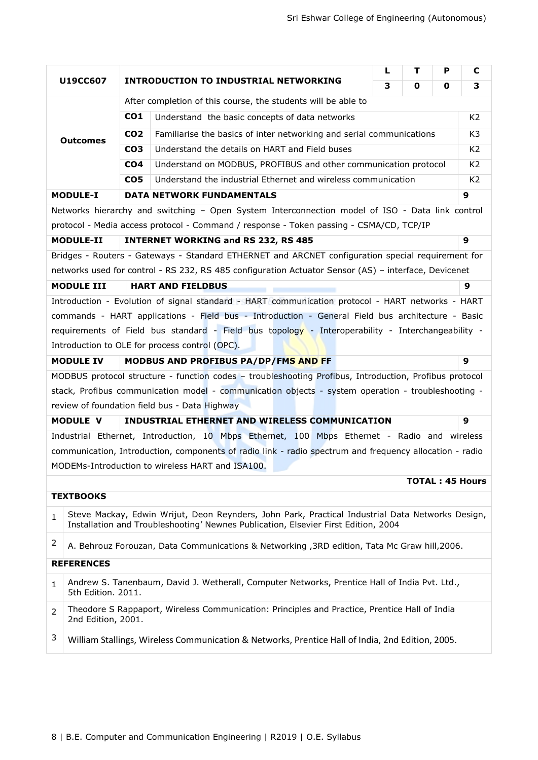|              |                                                                                                        |                                                                                         | L                                                                                                       | т | P | C              |                        |
|--------------|--------------------------------------------------------------------------------------------------------|-----------------------------------------------------------------------------------------|---------------------------------------------------------------------------------------------------------|---|---|----------------|------------------------|
|              | U19CC607                                                                                               |                                                                                         | <b>INTRODUCTION TO INDUSTRIAL NETWORKING</b>                                                            | 3 | 0 | 0              | 3                      |
|              |                                                                                                        |                                                                                         | After completion of this course, the students will be able to                                           |   |   |                |                        |
|              |                                                                                                        | CO <sub>1</sub>                                                                         | Understand the basic concepts of data networks                                                          |   |   |                | K <sub>2</sub>         |
|              | <b>Outcomes</b>                                                                                        | Familiarise the basics of inter networking and serial communications<br>CO <sub>2</sub> |                                                                                                         |   |   |                | K3                     |
|              |                                                                                                        | Understand the details on HART and Field buses<br>CO <sub>3</sub>                       |                                                                                                         |   |   | K <sub>2</sub> |                        |
|              |                                                                                                        | CO <sub>4</sub>                                                                         | Understand on MODBUS, PROFIBUS and other communication protocol                                         |   |   |                | K <sub>2</sub>         |
|              |                                                                                                        | CO <sub>5</sub>                                                                         | Understand the industrial Ethernet and wireless communication                                           |   |   |                | K <sub>2</sub>         |
|              | <b>MODULE-I</b>                                                                                        |                                                                                         | <b>DATA NETWORK FUNDAMENTALS</b>                                                                        |   |   |                | 9                      |
|              |                                                                                                        |                                                                                         | Networks hierarchy and switching - Open System Interconnection model of ISO - Data link control         |   |   |                |                        |
|              |                                                                                                        |                                                                                         | protocol - Media access protocol - Command / response - Token passing - CSMA/CD, TCP/IP                 |   |   |                |                        |
|              | <b>MODULE-II</b>                                                                                       |                                                                                         | <b>INTERNET WORKING and RS 232, RS 485</b>                                                              |   |   |                | 9                      |
|              |                                                                                                        |                                                                                         | Bridges - Routers - Gateways - Standard ETHERNET and ARCNET configuration special requirement for       |   |   |                |                        |
|              |                                                                                                        |                                                                                         | networks used for control - RS 232, RS 485 configuration Actuator Sensor (AS) - interface, Devicenet    |   |   |                |                        |
|              | <b>MODULE III</b>                                                                                      |                                                                                         | <b>HART AND FIELDBUS</b>                                                                                |   |   |                | 9                      |
|              |                                                                                                        |                                                                                         | Introduction - Evolution of signal standard - HART communication protocol - HART networks - HART        |   |   |                |                        |
|              |                                                                                                        |                                                                                         | commands - HART applications - Field bus - Introduction - General Field bus architecture - Basic        |   |   |                |                        |
|              |                                                                                                        |                                                                                         | requirements of Field bus standard - Field bus topology - Interoperability - Interchangeability -       |   |   |                |                        |
|              |                                                                                                        |                                                                                         | Introduction to OLE for process control (OPC).                                                          |   |   |                |                        |
|              | <b>MODULE IV</b>                                                                                       |                                                                                         | MODBUS AND PROFIBUS PA/DP/FMS AND FF                                                                    |   |   |                | 9                      |
|              | MODBUS protocol structure - function codes - troubleshooting Profibus, Introduction, Profibus protocol |                                                                                         |                                                                                                         |   |   |                |                        |
|              |                                                                                                        |                                                                                         | stack, Profibus communication model - communication objects - system operation - troubleshooting -      |   |   |                |                        |
|              | <b>MODULE V</b>                                                                                        |                                                                                         | review of foundation field bus - Data Highway<br>INDUSTRIAL ETHERNET AND WIRELESS COMMUNICATION         |   |   |                | 9                      |
|              |                                                                                                        |                                                                                         | Industrial Ethernet, Introduction, 10 Mbps Ethernet, 100 Mbps Ethernet - Radio and wireless             |   |   |                |                        |
|              |                                                                                                        |                                                                                         | communication, Introduction, components of radio link - radio spectrum and frequency allocation - radio |   |   |                |                        |
|              |                                                                                                        |                                                                                         | MODEMs-Introduction to wireless HART and ISA100.                                                        |   |   |                |                        |
|              |                                                                                                        |                                                                                         |                                                                                                         |   |   |                | <b>TOTAL: 45 Hours</b> |
|              | <b>TEXTBOOKS</b>                                                                                       |                                                                                         |                                                                                                         |   |   |                |                        |
|              |                                                                                                        |                                                                                         | Steve Mackay, Edwin Wrijut, Deon Reynders, John Park, Practical Industrial Data Networks Design,        |   |   |                |                        |
| $\mathbf{1}$ |                                                                                                        |                                                                                         | Installation and Troubleshooting' Newnes Publication, Elsevier First Edition, 2004                      |   |   |                |                        |
| 2            |                                                                                                        |                                                                                         | A. Behrouz Forouzan, Data Communications & Networking , 3RD edition, Tata Mc Graw hill, 2006.           |   |   |                |                        |
|              | <b>REFERENCES</b>                                                                                      |                                                                                         |                                                                                                         |   |   |                |                        |
| $\mathbf{1}$ | 5th Edition. 2011.                                                                                     |                                                                                         | Andrew S. Tanenbaum, David J. Wetherall, Computer Networks, Prentice Hall of India Pvt. Ltd.,           |   |   |                |                        |
| 2            | 2nd Edition, 2001.                                                                                     |                                                                                         | Theodore S Rappaport, Wireless Communication: Principles and Practice, Prentice Hall of India           |   |   |                |                        |
| 3            |                                                                                                        |                                                                                         | William Stallings, Wireless Communication & Networks, Prentice Hall of India, 2nd Edition, 2005.        |   |   |                |                        |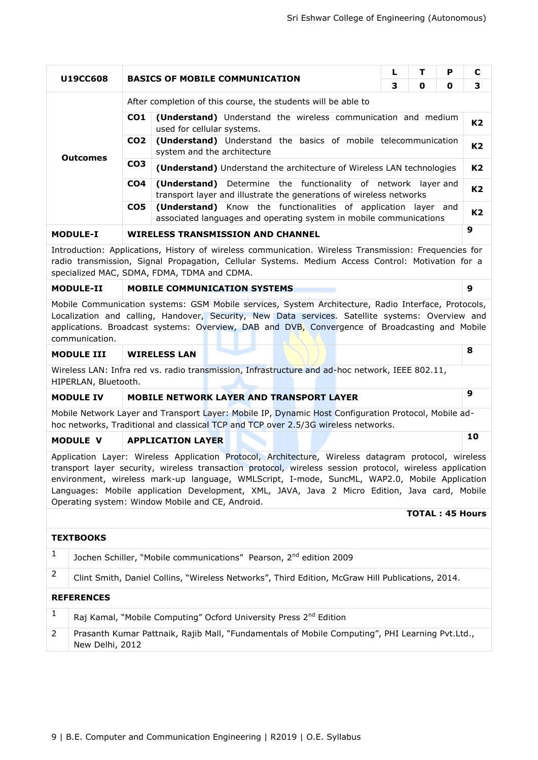| U19CC608                                                                                                                                                                                                                                                  |                 | <b>BASICS OF MOBILE COMMUNICATION</b>                                                                                                       | L | т | P           | C |  |  |  |  |  |
|-----------------------------------------------------------------------------------------------------------------------------------------------------------------------------------------------------------------------------------------------------------|-----------------|---------------------------------------------------------------------------------------------------------------------------------------------|---|---|-------------|---|--|--|--|--|--|
|                                                                                                                                                                                                                                                           |                 |                                                                                                                                             | 3 | 0 | $\mathbf o$ | 3 |  |  |  |  |  |
|                                                                                                                                                                                                                                                           |                 | After completion of this course, the students will be able to                                                                               |   |   |             |   |  |  |  |  |  |
|                                                                                                                                                                                                                                                           | CO1             | (Understand) Understand the wireless communication and medium<br>used for cellular systems.                                                 |   |   |             |   |  |  |  |  |  |
| <b>Outcomes</b>                                                                                                                                                                                                                                           | CO <sub>2</sub> | (Understand) Understand the basics of mobile telecommunication<br>system and the architecture                                               |   |   |             |   |  |  |  |  |  |
|                                                                                                                                                                                                                                                           | CO <sub>3</sub> | (Understand) Understand the architecture of Wireless LAN technologies                                                                       |   |   |             |   |  |  |  |  |  |
|                                                                                                                                                                                                                                                           | CO <sub>4</sub> | <b>(Understand)</b> Determine the functionality of network layer and<br>transport layer and illustrate the generations of wireless networks |   |   |             |   |  |  |  |  |  |
|                                                                                                                                                                                                                                                           | CO <sub>5</sub> | <b>(Understand)</b> Know the functionalities of application layer and<br>associated languages and operating system in mobile communications |   |   |             |   |  |  |  |  |  |
| <b>MODULE-I</b>                                                                                                                                                                                                                                           |                 | <b>WIRELESS TRANSMISSION AND CHANNEL</b>                                                                                                    |   |   |             | 9 |  |  |  |  |  |
| Introduction: Applications, History of wireless communication. Wireless Transmission: Frequencies for<br>radio transmission, Signal Propagation, Cellular Systems. Medium Access Control: Motivation for a<br>specialized MAC, SDMA, FDMA, TDMA and CDMA. |                 |                                                                                                                                             |   |   |             |   |  |  |  |  |  |
| 9<br><b>MODULE-II</b><br><b>MOBILE COMMUNICATION SYSTEMS</b>                                                                                                                                                                                              |                 |                                                                                                                                             |   |   |             |   |  |  |  |  |  |

Mobile Communication systems: GSM Mobile services, System Architecture, Radio Interface, Protocols, Localization and calling, Handover, Security, New Data services. Satellite systems: Overview and applications. Broadcast systems: Overview, DAB and DVB, Convergence of Broadcasting and Mobile communication.

### **MODULE III WIRELESS LAN 8**

Wireless LAN: Infra red vs. radio transmission, Infrastructure and ad-hoc network, IEEE 802.11, HIPERLAN, Bluetooth.

### **MODULE IV MOBILE NETWORK LAYER AND TRANSPORT LAYER <sup>9</sup>**

Mobile Network Layer and Transport Layer: Mobile IP, Dynamic Host Configuration Protocol, Mobile adhoc networks, Traditional and classical TCP and TCP over 2.5/3G wireless networks.

## **MODULE V APPLICATION LAYER <sup>10</sup>**

New Delhi, 2012

Application Layer: Wireless Application Protocol, Architecture, Wireless datagram protocol, wireless transport layer security, wireless transaction protocol, wireless session protocol, wireless application environment, wireless mark-up language, WMLScript, I-mode, SuncML, WAP2.0, Mobile Application Languages: Mobile application Development, XML, JAVA, Java 2 Micro Edition, Java card, Mobile Operating system: Window Mobile and CE, Android.

#### **TOTAL : 45 Hours**

|                | <b>TEXTBOOKS</b>                                                                                 |  |  |  |  |  |
|----------------|--------------------------------------------------------------------------------------------------|--|--|--|--|--|
|                | Jochen Schiller, "Mobile communications" Pearson, 2 <sup>nd</sup> edition 2009                   |  |  |  |  |  |
| $\overline{2}$ | Clint Smith, Daniel Collins, "Wireless Networks", Third Edition, McGraw Hill Publications, 2014. |  |  |  |  |  |
|                | <b>REFERENCES</b>                                                                                |  |  |  |  |  |
|                | Raj Kamal, "Mobile Computing" Ocford University Press 2 <sup>nd</sup> Edition                    |  |  |  |  |  |
| <sup>2</sup>   | Prasanth Kumar Pattnaik, Rajib Mall, "Fundamentals of Mobile Computing", PHI Learning Pvt.Ltd.,  |  |  |  |  |  |